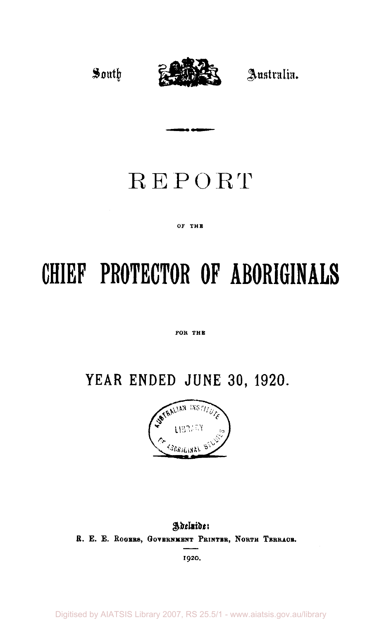

# REPORT

#### OF THE

# **CHIEF PROTECTOR OF ABORIGINALS**

#### FOR THE

# **YEAR ENDED JUNE 30, 1920.**



## Adeluide: **R. E. E. ROGERS, GOVERNMENT PRINTER, NORTH TERRACE.**

**1920.** 

Digitised by AIATSIS Library 2007, RS 25.5/1 - www.aiatsis.gov.au/library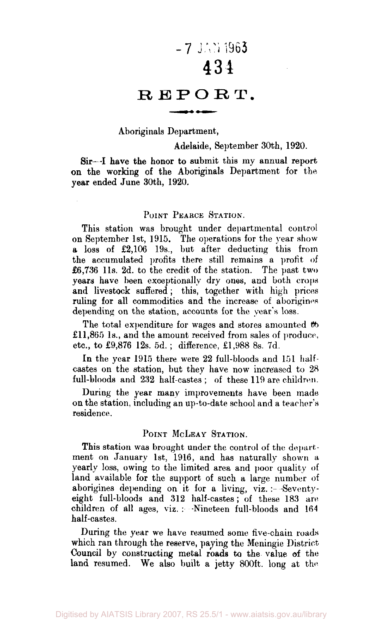# $-7$  JAN 1963 434

## REPORT.

#### Aboriginals Department,

#### Adelaide, September 30th, 1920.

Sir—I have the honor to submit this my annual report on the working of the Aboriginals Department for the year ended June 30th, 1920.

#### POINT PEARCE STATION.

This station was brought under departmental control on September 1st, 1915. The operations for the year show a loss of £2,106 19s., but after deducting this from the accumulated profits there still remains a profit of £6,736 11s. 2d. to the credit of the station. The past two years have been exceptionally dry ones, and both crops and livestock suffered ; this, together with high prices ruling for all commodities and the increase of aborigines depending on the station, accounts for the year's loss.

The total expenditure for wages and stores amounted  $\omega$ £11,865 1s., and the amount received from sales of produce, etc., to £9,876 12s. 5d. ; difference, £1,988 8s. 7d.

In the year 1915 there were 22 full-bloods and 151 halfcastes on the station, but they have now increased to 28 full-bloods and 232 half-castes ; of these 119 are children.

During the year many improvements have been made on the station, including an up-to-date school and a teacher's residence.

#### POINT MCLEAY STATION.

This station was brought under the control of the department on January 1st, 1916, and has naturally shown a yearly loss, owing to the limited area and poor quality of land available for the support of such a large number of aborigines depending on it for a living, viz. :- Seventyeight full-bloods and 312 half-castes; of these 183 are children of all ages, viz. : -Nineteen full-bloods and 164 half-castes.

During the year we have resumed some five-chain roads which ran through the reserve, paying the Meningie District Council by constructing metal roads to the value of the land resumed. We also built a jetty 800ft. long at the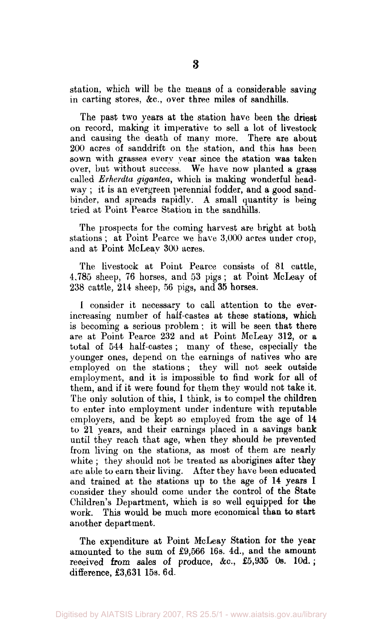station, which will be the means of a considerable saving in carting stores, &c, over three miles of sandhills.

The past two years at the station have been the driest on record, making it imperative to sell a lot of livestock and causing the death of many more. There are about 200 acres of sanddrift on the station, and this has been sown with grasses every year since the station was taken over, but without success. We have now planted a grass called *Erherdta gigantea,* which is making wonderful headway ; it is an evergreen perennial fodder, and a good sandbinder, and spreads rapidly. A small quantity is being tried at Point Pearce Station in the sandhills.

The prospects for the coming harvest are bright at both stations ; at Point Pearce we have 3,000 acres under crop, and at Point McLeay 300 acres.

The livestock at Point Pearce consists of 81 cattle, 4,785 sheep, 76 horses, and 53 pigs; at Point McLeay of 238 cattle, 214 sheep, 56 pigs, and 35 horses.

1 consider it necessary to call attention to the everincreasing number of half-castes at these stations, which is becoming a serious problem ; it will be seen that there are at Point Pearce 232 and at Point McLeay 312, or a total of 544 half-castes ; many of these, especially the younger ones, depend on the earnings of natives who are employed on the stations ; they will not seek outside employment, and it is impossible to find work for all of them, and if it were found for them they would not take it. The only solution of this, 1 think, is to compel the children to enter into employment under indenture with reputable employers, and be kept so employed from the age of 14 to 21 years, and their earnings placed in a savings bank until they reach that age, when they should be prevented from living on the stations, as most of them are nearly white ; they should not be treated as aborigines after they are able to earn their living. After they have been educated and trained at the stations up to the age of 14 years I consider they should come under the control of the State Children's Department, which is so well equipped for the work. This would be much more economical than to start another department.

The expenditure at Point McLeay Station for the year amounted to the sum of £9,566 16s. 4d., and the amount received from sales of produce, &c.,  $£5,935$  0s. 10d.; difference, £3,631 15s. 6d.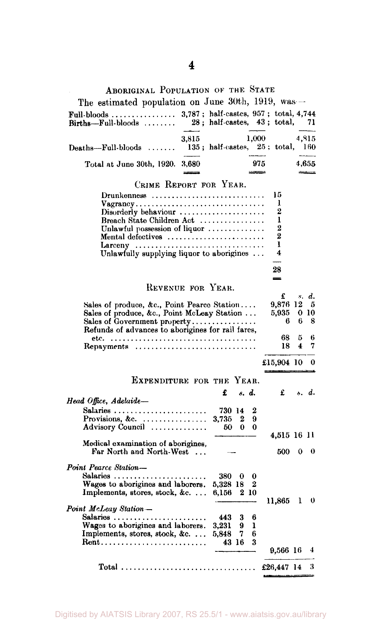## ABORIGINAL POPULATION OF THE STATE

| The estimated population on June 30th, 1919, was                                                                                                                                                                                                                                                  |                                    |                      |                  |                                       |          |                                    |
|---------------------------------------------------------------------------------------------------------------------------------------------------------------------------------------------------------------------------------------------------------------------------------------------------|------------------------------------|----------------------|------------------|---------------------------------------|----------|------------------------------------|
| $Births$ -Full-bloods                                                                                                                                                                                                                                                                             | $28$ ; half-castes, $43$ ; total,  |                      |                  |                                       |          | 71                                 |
| 3,815<br>$\mathbf{Deaths}$ —Full-bloods                                                                                                                                                                                                                                                           | $135$ ; half-castes, $25$ ; total, |                      | 1,000            |                                       |          | 4,815<br>160                       |
| Total at June 30th, 1920. 3,680                                                                                                                                                                                                                                                                   |                                    |                      | 975              |                                       |          | 4,655                              |
| CRIME REPORT FOR YEAR.                                                                                                                                                                                                                                                                            |                                    |                      |                  |                                       |          |                                    |
| $Drunkenness \ldots \ldots \ldots \ldots \ldots \ldots \ldots \ldots$<br>Vagrancy<br>$Disorderly behaviour \ldots \ldots \ldots \ldots \ldots$<br>Breach State Children Act<br>Unlawful possession of liquor<br>Mental defectives<br>Larceny<br>Unlawfully supplying liquor to aborigines $\dots$ |                                    |                      |                  | 15<br>ı<br>2<br>ı<br>2<br>2<br>ı<br>4 |          |                                    |
|                                                                                                                                                                                                                                                                                                   |                                    |                      |                  | 28                                    |          |                                    |
| REVENUE FOR YEAR.                                                                                                                                                                                                                                                                                 |                                    |                      |                  | -                                     |          |                                    |
| Sales of produce, &c., Point Pearco Station<br>Sales of produce, &c., Point McLeay Station<br>Sales of Government property<br>Refunds of advances to aborigines for rail fares,                                                                                                                   |                                    |                      |                  | £<br>9,876 12<br>5,935<br>6           | 6        | s. d.<br>5<br>0 <sub>10</sub><br>8 |
|                                                                                                                                                                                                                                                                                                   |                                    |                      |                  | 68                                    | 5        | 6                                  |
| Repayments                                                                                                                                                                                                                                                                                        |                                    |                      |                  | 18                                    | 4        | 7                                  |
|                                                                                                                                                                                                                                                                                                   |                                    |                      |                  | £15,904 10                            |          | 0                                  |
|                                                                                                                                                                                                                                                                                                   |                                    |                      |                  |                                       |          |                                    |
| EXPENDITURE FOR THE YEAR.                                                                                                                                                                                                                                                                         |                                    |                      |                  |                                       |          |                                    |
| Head Office, Adelaide—                                                                                                                                                                                                                                                                            | £                                  | s. d.                |                  | £                                     |          | s. d.                              |
| Salaries<br>Provisions, &c. $\ldots$<br>Advisory Council                                                                                                                                                                                                                                          | 730 14<br>3,735<br>50              | 2<br>0               | 2<br>9<br>0      |                                       |          |                                    |
| Medical examination of aborigines,<br>Far North and North-West                                                                                                                                                                                                                                    |                                    |                      |                  | 4,515 16 11<br>500                    | $\bf{0}$ | -0                                 |
| <b>Point Pearce Station—</b><br>Salaries<br>Wages to aborigines and laborers.<br>Implements, stores, stock, &c                                                                                                                                                                                    | 380<br>5,328 18<br>6,156           | - 0<br>2 10          | 0<br>2           |                                       |          |                                    |
| Point McLeay Station -<br>Salaries<br>Wages to aborigines and laborers.<br>Implements, stores, stock, &c                                                                                                                                                                                          | 443<br>3,231<br>5,848              | 3<br>9<br>7<br>43 16 | 6<br>ı<br>6<br>3 | 11,865                                | ı        | $\bf{0}$                           |
|                                                                                                                                                                                                                                                                                                   |                                    |                      |                  | 9,566 16                              |          | 4                                  |
|                                                                                                                                                                                                                                                                                                   |                                    |                      |                  | £26,447 14                            |          | 3                                  |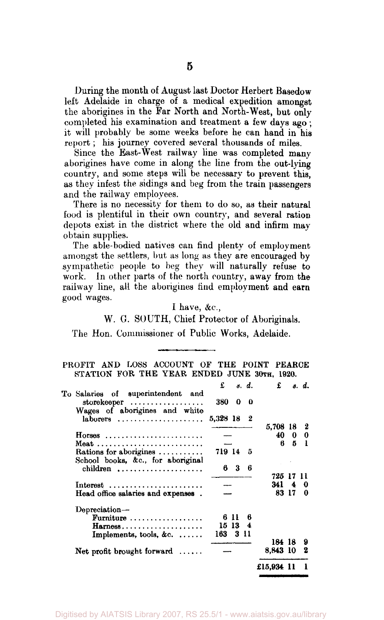During the month of August last Doctor Herbert Basedow left Adelaide in charge of a medical expedition amongst the aborigines in the Far North and North-West, but only completed his examination and treatment a few days ago; it will probably be some weeks before he can hand in his report; his journey covered several thousands of miles.

Since the East-West railway line was completed many aborigines have come in along the line from the out-lying country, and some steps will be necessary to prevent this, as they infest the sidings and beg from the train passengers and the railway employees.

There is no necessity for them to do so, as their natural food is plentiful in their own country, and several ration depots exist in the district where the old and infirm may obtain supplies.

The able-bodied natives can find plenty of employment amongst the settlers, but as long as they are encouraged by sympathetic people to beg they will naturally refuse to work. In other parts of the north country, away from the railway line, all the aborigines find employment and earn good wages.

#### I have, &c.,

W. G. SOUTH, Chief Protector of Aboriginals.

The Hon. Commissioner of Public Works, Adelaide.

PROFIT AND LOSS ACCOUNT OF THE POINT PEARCE STATION FOR THE YEAR ENDED JUNE 30TH, 1920.

|                                                             |            | $\pounds$ s.d.   |     |                      | $\mathbf{f}$ $s. d.$ |                 |
|-------------------------------------------------------------|------------|------------------|-----|----------------------|----------------------|-----------------|
| To Salaries of superintendent and<br>storekeeper            | 380 0      |                  | - 0 |                      |                      |                 |
| Wages of aborigines and white<br>$laborers$ ,               | 5,328 18 2 |                  |     |                      |                      |                 |
| $Horses$                                                    |            |                  |     | 5.708 18<br>40<br>6. | 5                    | 2<br>$0\quad 0$ |
| Rations for aborigines<br>School books, &c., for aboriginal | 719 14 5   |                  |     |                      |                      |                 |
| children $\ldots \ldots \ldots \ldots \ldots$               |            | 63               | 6   | 725 17               |                      |                 |
| $Interest$<br>Head office salaries and expenses.            |            |                  |     | 3414                 | 83 17                | 0<br>0          |
| Depreciation-                                               |            |                  |     |                      |                      |                 |
| Furniture $\ldots \ldots \ldots \ldots \ldots$              |            | 6 L L<br>15 13 4 | ß   |                      |                      |                 |
| Implements, tools, &c.                                      | 163 3 11   |                  |     | 184 18               |                      | 9               |
| Net profit brought forward $\dots$                          |            |                  |     | 8.843 10             |                      | 2               |
|                                                             |            |                  |     | £15.934 11           |                      |                 |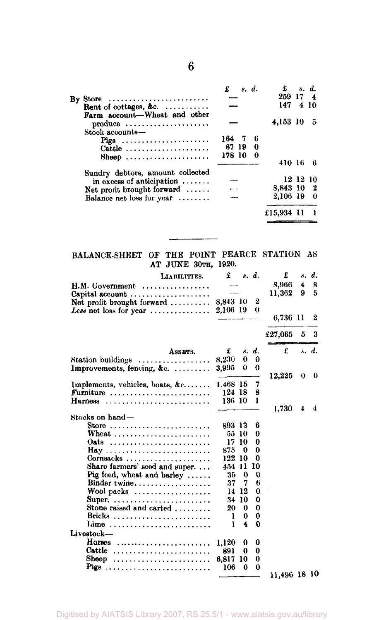|                                                                       | s. d.    | $\mathbf{f}$ $s. d.$ |          |                |
|-----------------------------------------------------------------------|----------|----------------------|----------|----------------|
| Store $\ldots \ldots \ldots \ldots \ldots \ldots \ldots \ldots$<br>By |          | 259 17 4             |          |                |
| Rent of cottages, &c. $\ldots$<br>Farm account-Wheat and other        |          | 147                  |          | 4 10           |
| $produce \dots \dots \dots \dots \dots \dots \dots$                   |          | 4,153 10             |          | -5             |
| Stock accounts-                                                       |          |                      |          |                |
| Pigs                                                                  | 16476    |                      |          |                |
| Cattle                                                                | 67 19 0  |                      |          |                |
| $8$ heep                                                              | 178 10 0 |                      |          |                |
|                                                                       |          | 410 16               |          | - 6            |
| Sundry debtors, amount collected                                      |          |                      |          |                |
| in excess of anticipation $\ldots$                                    |          |                      | 12 12 10 |                |
| Net profit brought forward                                            |          | 8,843 10 2           |          |                |
| Balance net loss for year                                             |          | 2,106 19             |          | $\overline{0}$ |
|                                                                       |          | £15,934 11           |          |                |

#### BALANCE-SHEET OF THE POINT PEARCE STATION AS AT JUNE 30TH, 1920.

| LIABILITIES.                                    | £        |               | s. d.                   | £            | 8.                 | d.    |
|-------------------------------------------------|----------|---------------|-------------------------|--------------|--------------------|-------|
| H.M. Government<br>.                            |          |               |                         | 8.966        | $\overline{\bf 4}$ | 8     |
| Capital account                                 |          |               |                         | 11,362       | 9                  | 5     |
| Net profit brought forward $\ldots \ldots$      | 8,843 10 |               | $\overline{\mathbf{2}}$ |              |                    |       |
| Less not loss for year                          | 2,106 19 |               | 0                       |              |                    |       |
|                                                 |          |               |                         | 6,736 11     |                    | 2     |
|                                                 |          |               |                         | £27,065      | 5                  | 3     |
| ASSETS.                                         | £        |               | s. d.                   | £            |                    | s. d. |
| Station buildings $\ldots \ldots \ldots \ldots$ | 8,230    | 0             | 0                       |              |                    |       |
| Improvements, fencing, &c.                      | 3.995    | 0             | 0                       |              |                    |       |
|                                                 |          |               |                         | 12.225       | 0                  | 0     |
| Implements, vehicles, boats, $\&c$              | 1.468 15 |               | 7                       |              |                    |       |
| Furniture                                       | 124 18   |               | 8                       |              |                    |       |
| Harness                                         | 136 10   |               | 1                       |              |                    |       |
|                                                 |          |               |                         | 1,730        | 4                  | 4     |
| Stocks on hand-                                 |          |               |                         |              |                    |       |
| Store                                           | 893 13   |               | 6                       |              |                    |       |
|                                                 |          | 55 10         | 0                       |              |                    |       |
| Oats                                            |          | 17 10         | 0                       |              |                    |       |
| Hay                                             | 875      | 0             | 0                       |              |                    |       |
| Cornsacks                                       | 122      | 10            | 0                       |              |                    |       |
| Share farmers' seed and super.                  | 454      | $\mathbf{11}$ | 10                      |              |                    |       |
| Pig feed, wheat and barley                      | 35       | $\bf{0}$      | 0                       |              |                    |       |
| Binder twine                                    | 37       | 7             | 6                       |              |                    |       |
| Wool packs $\ldots$                             | 14       | 12            | 0                       |              |                    |       |
| Super.                                          | 34       | 10            | 0                       |              |                    |       |
| Stone raised and carted $\ldots$                | 20       | 0             | $\bf{0}$                |              |                    |       |
| Bricks                                          | 1        | 0             | 0                       |              |                    |       |
| Lime                                            | ١        | 4             | 0                       |              |                    |       |
| Livestock-                                      |          |               |                         |              |                    |       |
| Horses                                          | 1,120    | 0             | 0                       |              |                    |       |
| Cattle                                          | 891      | 0             | 0                       |              |                    |       |
| Sheep                                           | 6,817    | 10            | 0                       |              |                    |       |
| Pigs                                            | 106      | $\theta$      | 0                       |              |                    |       |
|                                                 |          |               |                         | 11,496 18 10 |                    |       |

**6**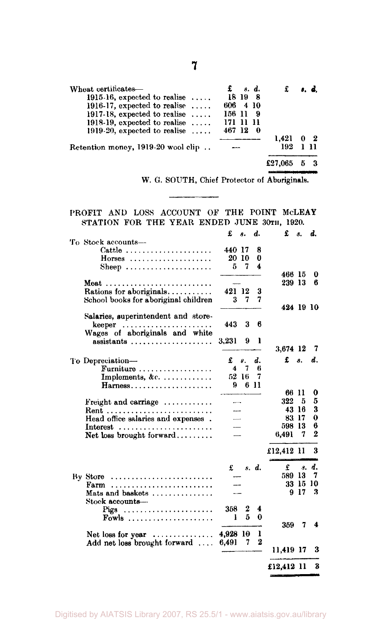| Wheat certificates-                     | s. d.        |         | s. d.          |  |
|-----------------------------------------|--------------|---------|----------------|--|
| 1915-16, expected to realise $\dots$ .  | 18 19        |         |                |  |
| 1916-17, expected to realise $\dots$    | 606 4 10     |         |                |  |
| 1917-18, expected to realise $\ldots$ . | 156 11<br>-9 |         |                |  |
| 1918-19, expected to realise $\ldots$ . | 171 11 11    |         |                |  |
| 1919-20, expected to realise $\ldots$ . | 467 12       |         |                |  |
|                                         |              | 1.421   | 0 <sub>2</sub> |  |
| Retention money, 1919-20 wool clip      |              | 192     | 111            |  |
|                                         |              | £27,065 |                |  |
|                                         |              |         |                |  |

W. G. SOUTH, Chief Protector of Aboriginals.

#### PROFIT AND LOSS ACCOUNT OF THE POINT MCLEAY STATION FOR THE YEAR ENDED JUNE 30TH, 1920.

|                                                             | £        | 8.    | d.               | £          | 8.    | d.             |
|-------------------------------------------------------------|----------|-------|------------------|------------|-------|----------------|
| To Stock accounts—                                          |          |       |                  |            |       |                |
| Cattle                                                      | 440 17   |       | 8                |            |       |                |
| $Horses$                                                    |          | 20 10 | 0                |            |       |                |
| Sheep $\ldots$                                              | 5        | 7     | 4                |            |       |                |
|                                                             |          |       |                  | 466 15     |       | 0              |
|                                                             |          |       |                  | 239 13     |       | в              |
| Rations for aboriginals                                     | 421 12   |       | 3                |            |       |                |
| School books for aboriginal children                        | 3        | 7     | 7                |            |       |                |
|                                                             |          |       |                  | 424 19 10  |       |                |
| Salaries, superintendent and store-                         |          |       |                  |            |       |                |
| keeper                                                      | 443      | 3     | 6                |            |       |                |
| Wages of aboriginals and white                              |          |       |                  |            |       |                |
| assistants                                                  | 3,231    | 9     | ı                |            |       |                |
|                                                             |          |       |                  | 3.674 12   |       | 7              |
| To Depreciation-                                            | £        | 8.    | d.               | £          | 8.    | d.             |
| $\textbf{Furthermore} \dots \dots \dots \dots \dots \dots$  | 4        | 7     | h                |            |       |                |
| Implements, &c.                                             |          | 52 16 | 7                |            |       |                |
| Harness                                                     | 9        |       | 6 11             |            |       |                |
|                                                             |          |       |                  | 66 11      |       | 0              |
| Freight and carriage                                        |          |       |                  | 322        | 5     | 5              |
| Rent                                                        |          |       |                  | 43 16      |       | 3              |
| Head office salaries and expenses.                          |          |       |                  | 83 17      |       | $\bf{0}$       |
| Interest $\ldots \ldots \ldots \ldots \ldots \ldots \ldots$ |          |       |                  | 598        | -13   | 6              |
| Net loss brought forward                                    |          |       |                  | 6,491      | 7     | $\overline{2}$ |
|                                                             |          |       |                  |            |       |                |
|                                                             |          |       |                  | £12,412 11 |       | 3              |
|                                                             |          |       |                  |            |       |                |
|                                                             | £        |       | s. d.            | £          | я.    | d.             |
| By Store                                                    |          |       |                  | 589 13     |       | 7              |
| Farm                                                        |          |       |                  |            | 33 15 | 10             |
| Mats and baskets                                            |          |       |                  |            | 917   | 3              |
| Stock accounts-                                             |          |       |                  |            |       |                |
| Pigs                                                        | 358      | 2     | 4                |            |       |                |
| Fowls                                                       | ł        | 5     | 0                |            |       |                |
|                                                             |          |       |                  | 359        | 7     | 4              |
| Net loss for year $\dots\dots\dots\dots\dots$               | 4,928 10 |       | ı                |            |       |                |
| Add net loss brought forward                                | 6,491    | 7     | $\boldsymbol{2}$ |            |       |                |
|                                                             |          |       |                  | 11,419 17  |       | 3              |
|                                                             |          |       |                  |            |       |                |
|                                                             |          |       |                  | £12,412 11 |       | 3              |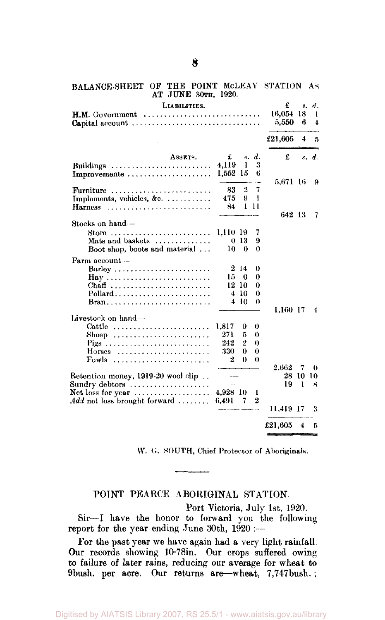| AT JUNE 30TH, 1920.                                                                                        |                                  |                     |                  |                      |               |                                 |
|------------------------------------------------------------------------------------------------------------|----------------------------------|---------------------|------------------|----------------------|---------------|---------------------------------|
| LIABILITIES.<br>Capital account                                                                            |                                  |                     |                  | £<br>16,054<br>5,550 | 8.<br>18<br>6 | d.<br>1<br>$\ddot{\phantom{a}}$ |
|                                                                                                            |                                  |                     |                  | £21,605              | 4             | 5                               |
| ASSETS.                                                                                                    | £                                |                     | s. d.            | £                    |               | s. d.                           |
| Buildings<br>Improvements                                                                                  | 4,119<br>1,552 15                | 1                   | 3<br>6           |                      |               |                                 |
| Furniture<br>Implements, vehicles, &c.                                                                     | 83<br>475                        | $\overline{2}$<br>9 | 7<br>1           | 5.671 16             |               | 9                               |
| Harness                                                                                                    | 84                               |                     | 1 11             | 642 13               |               | 7                               |
| Stocks on hand -                                                                                           |                                  |                     |                  |                      |               |                                 |
| Storo                                                                                                      | 1,110-19                         |                     | 7                |                      |               |                                 |
| Mats and baskets                                                                                           |                                  | 0 <sub>13</sub>     | 9                |                      |               |                                 |
| Boot shop, boots and material                                                                              | 10                               | $\theta$            | 0                |                      |               |                                 |
| Farm account-                                                                                              |                                  |                     |                  |                      |               |                                 |
| Barley                                                                                                     |                                  | 214                 | $\theta$         |                      |               |                                 |
| Chaff                                                                                                      | 15 -                             | 0<br>12-10          | 0<br>0           |                      |               |                                 |
| Pollard                                                                                                    |                                  | 410                 | 0                |                      |               |                                 |
| Bran                                                                                                       |                                  | 4 10                | $\Omega$         |                      |               |                                 |
| Livestock on hand-                                                                                         |                                  |                     |                  | 1.160 17             |               | 4                               |
| Cattle                                                                                                     | 1,817                            | 0                   | 0                |                      |               |                                 |
|                                                                                                            | 271                              | 5                   | 0                |                      |               |                                 |
| Pigs                                                                                                       | 242                              | $\overline{2}$      | $\theta$         |                      |               |                                 |
| $Horses$                                                                                                   | 330                              | 0                   | $\bf{0}$         |                      |               |                                 |
| Fowls                                                                                                      | $\bf{2}$                         | 0                   | 0                |                      |               |                                 |
|                                                                                                            |                                  |                     |                  | 2.662                | 7             | 0                               |
| Retention money, 1919-20 wool clip                                                                         | $\overline{a}$<br><b>Service</b> |                     |                  | 19                   | 28 10 10<br>ı | я                               |
| Sundry debtors $\dots\dots\dots\dots\dots\dots\dots$<br>Net loss for year $\dots\dots\dots\dots\dots\dots$ | 4,928 10                         |                     | 1                |                      |               |                                 |
| $Add$ net loss brought forward                                                                             | 6,491                            | 7                   | $\boldsymbol{2}$ |                      |               |                                 |
|                                                                                                            |                                  |                     |                  | 11,419-17            |               | 3                               |
|                                                                                                            |                                  |                     |                  | £21,605              | 4             | 5                               |

BALANCE-SHEET OF THE POINT McLEAY STATION AS AT JUNE 30TH, 1920.

W. G. SOUTH, Chief Protector of Aboriginals.

### POINT PEARCE ABORIGINAL STATION.

Port Victoria, July 1st, 1920.

Sir—I have the honor to forward you the following report for the year ending June 30th,  $1920$  :--

For the past year we have again had a very light rainfall. Our records showing 10-78in. Our crops suffered owing to failure of later rains, reducing our average for wheat to 9bush. per acre. Our returns are—wheat, 7,747bush.;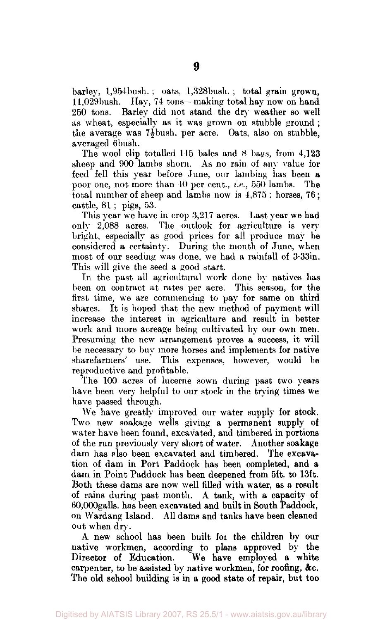barley, l,954bush. ; oats, l,328bush. ; total grain grown, ll,029bush. Hay, 74 tons—making total hay now on hand 250 tons. Barley did not stand the dry weather so well as wheat, especially as it was grown on stubble ground ; the average was  $7\frac{1}{2}$  bush. per acre. Oats, also on stubble, averaged 6bush.

The wool clip totalled 145 bales and 8 bags, from 4,123 sheep and 900 lambs shorn. As no rain of any value for feed fell this year before June, our lambing has been a poor one, not more than 40 per cent., *i.e.,* 550 lambs. The total number of sheep and lambs now is 4,875 ; horses, 76; cattle, 81 ; pigs, 53.

This year we have in crop 3,217 acres. Last year we had only 2,088 acres. The outlook for agriculture is very bright, especially as good prices for all produce may be considered a certainty. During the month of June, when most of our seeding was done, we had a rainfall of 3-33in. This will give the seed a good start.

In the past all agricultural work done by natives has been on contract at rates per acre. This season, for the first time, we are commencing to pay for same on third shares. It is hoped that the new method of payment will increase the interest in agriculture and result in better work and more acreage being cultivated by our own men. Presuming the new arrangement proves a success, it will be necessary to buy more horses and implements for native sharefarmers' use. This expenses, however, would be reproductive and profitable.

The 100 acres of lucerne sown during past two years have been very helpful to our stock in the trying times we have passed through.

We have greatly improved our water supply for stock. Two new soakage wells giving a permanent supply of water have been found, excavated, and timbered in portions of the run previously very short of water. Another soakage dam has also been excavated and timbered. The excavation of dam in Port Paddock has been completed, and a dam in Point Paddock has been deepened from 5ft, to 13ft. Both these dams are now well filled with water, as a result of rains during past month. A tank, with a capacity of 60,000galls. has been excavated and built in South Paddock, on Wardang Island. All dams and tanks have been cleaned out when dry.

A new school has been built foi the children by our native workmen, according to plans approved by the Director of Education. We have employed a white carpenter, to be assisted by native workmen, for roofing, &c. The old school building is in a good state of repair, but too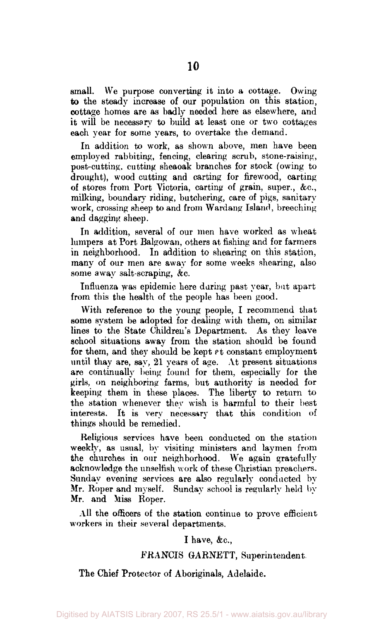small. We purpose converting it into a cottage. Owing to the steady increase of our population on this station, cottage homes are as badly needed here as elsewhere, and it will be necessary to build at least one or two cottages each year for some years, to overtake the demand.

In addition to work, as shown above, men have been employed rabbiting, fencing, clearing scrub, stone-raising, post-cutting, cutting sheaoak branches for stock (owing to drought), wood cutting and carting for firewood, carting of stores from Port Victoria, carting of grain, super., &c, milking, boundary riding, butchering, care of pigs, sanitary work, crossing sheep to and from Wardang Island, breeching and dagging sheep.

In addition, several of our men have worked as wheat lumpers at Port Balgowan, others at fishing and for farmers in neighborhood. In addition to shearing on this station, many of our men are away for some weeks shearing, also some away salt-scraping, &c.

Influenza was epidemic here daring past year, but apart from this the health of the people has been good.

With reference to the young people, I recommend that some system be adopted for dealing with them, on similar lines to the State Children's Department. As they leave school situations away from the station should be found for them, and they should be kept  $\ell$ t constant employment until they are, say, 21 years of age. At present situations are continually being found for them, especially for the girls, on neighboring farms, but authority is needed for keeping them in these places. The liberty to return to the station whenever they wish is harmful to their best interests. It is very necessary that this condition of things should be remedied.

Religious services have been conducted on the station weekly, as usual, by visiting ministers and laymen from the churches in our neighborhood. We again gratefully acknowledge the unselfish work of these Christian preachers. Sunday evening services are also regularly conducted by Mr. Roper and myself. Sunday school is regularly held by Mr. and Miss Roper.

All the officers of the station continue to prove efficient workers in their several departments.

#### I have, &c,

#### FRANCIS GARNETT, Superintendent

The Chief Protector of Aboriginals, Adelaide.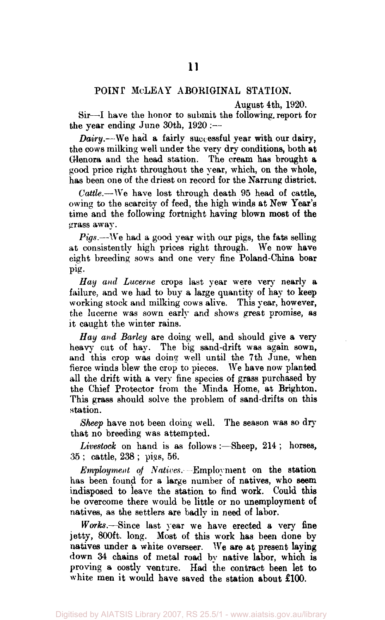#### POINT McLEAY ABORIGINAL STATION.

August 4th, 1920.

Sir—-I have the honor to submit the following, report for the year ending June 30th, 1920 :—

*Dairy*.—We had a fairly successful year with our dairy, the cows milking well under the very dry conditions, both at Glenora and the head station. The cream has brought a good price right throughout the year, which, on the whole, has been one of the driest on record for the Narrung district.

*Cattle.*—We have lost through death 95 head of cattle, owing to the scarcity of feed, the high winds at New Year's time and the following fortnight having blown most of the grass away.

*Pigs.*—We had a good year with our pigs, the fats selling at consistently high prices right through. We now have eight breeding sows and one very fine Poland-China boar pig.

*Hay and Lucerne* crops last year were very nearly a failure, and we had to buy a large quantity of hay to keep working stock and milking cows alive. This year, however, the lucerne was sown early and shows great promise, as it caught the winter rains.

*Hay and Barley* are doing well, and should give a very heavy cut of hay. The big sand-drift was again sown, and this crop was doing well until the 7th June, when fierce winds blew the crop to pieces. We have now planted all the drift with a very fine species of grass purchased by the Chief Protector from the Minda Home, at Brighton. This grass should solve the problem of sand-drifts on this station.

*Sheep* have not been doing well. The season was so dry that no breeding was attempted.

*Livestock* on hand is as follows:—Sheep, 214 ; horses, 35 ; cattle, 238 ; pies, 56.

*Employment of Natives.* Employment on the station has been found for a large number of natives, who seem indisposed to leave the station to find work. Could this be overcome there would be little or no unemployment of natives, as the settlers are badly in need of labor.

*Works.*—Since last year we have erected a very fine jetty, 800ft. long. Most of this work has been done by natives under a white overseer. We are at present laying down 34 chains of metal road by native labor, which is proving a costly venture. Had the contract been let to white men it would have saved the station about £100.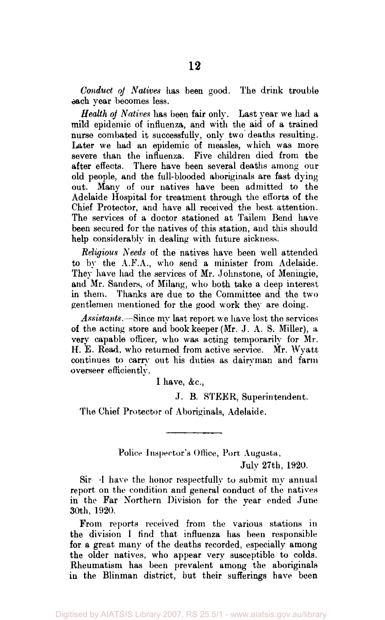*Conduct of Natives* has been good. The drink trouble each year becomes less.

*Health of Natives* has been fair only. Last year we had a mild epidemic of influenza, and with the aid of a trained nurse combated it successfully, only two deaths resulting. Later we had an epidemic of measles, which was more severe than the influenza. Five children died from the after effects. There have been several deaths among our old people, and the full-blooded aboriginals are fast dying out. Many of our natives have been admitted to the Adelaide Hospital for treatment through the efforts of the Chief Protector, and have all received the best attention. The services of a doctor stationed at Tailem Bend have been secured for the natives of this station, and this should help considerably in dealing with future sickness.

*Religious Needs* of the natives have been well attended to by the A.F.A., who send a minister from Adelaide. They have had the services of Mr. Johnstone, of Meningie, and Mr. Sanders, of Milang, who both take a deep interest in them. Thanks are due to the Committee and the two gentlemen mentioned for the good work they are doing.

*Assistants.*—Since my last report we have lost the services of the acting store and book keeper (Mr. J. A. S. Miller), a very capable officer, who was acting temporarily for Mr. H. E. Read, who returned from active service. Mr. Wyatt continues to carry out his duties as dairyman and farm overseer efficiently.

I have,  $&c.,$ 

J. B. STEER, Superintendent.

The Chief Protector of Aboriginals, Adelaide.

Police Inspector's Office, Port Augusta,

July 27th, 1920.

Sir -I have the honor respectfully to submit my annual report on the condition and general conduct of the natives in the Far Northern Division for the year ended June 30th, 1920.

From reports received from the various stations in the division I find that influenza has been responsible for a great many of the deaths recorded, especially among the older natives, who appear very susceptible to colds. Rheumatism has been prevalent among the aboriginals in the Blinman district, but their sufferings have been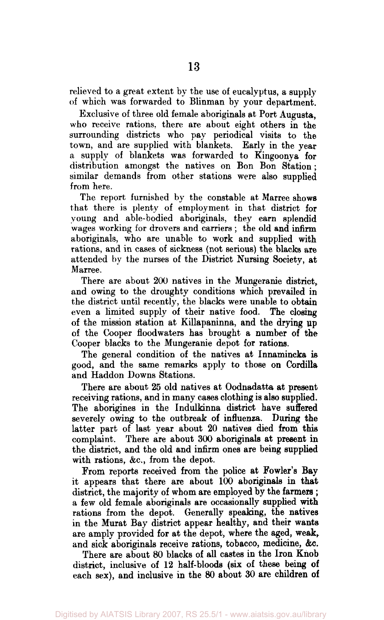relieved to a great extent by the use of eucalyptus, a supply of which was forwarded to Blinman by your department.

Exclusive of three old female aboriginals at Port Augusta, who receive rations, there are about eight others in the surrounding districts who pay periodical visits to the town, and are supplied with blankets. Early in the year a supply of blankets was forwarded to Kingoonya for distribution amongst the natives on Bon Bon Station; similar demands from other stations were also supplied from here.

The report furnished by the constable at Marree shows that there is plenty of employment in that district for young and able-bodied aboriginals, they earn splendid wages working for drovers and carriers ; the old and infirm aboriginals, who are unable to work and supplied with rations, and in cases of sickness (not serious) the blacks are attended by the nurses of the District Nursing Society, at Marree.

There are about 200 natives in the Mungeranie district, and owing to the droughty conditions which prevailed in the district until recently, the blacks were unable to obtain even a limited supply of their native food. The closing of the mission station at Killapaninna, and the drying up of the Cooper floodwaters has brought a number of the Cooper blacks to the Mungeranie depot for rations.

The general condition of the natives at Innamincka is good, and the same remarks apply to those on Cordilla and Haddon Downs Stations.

There are about 25 old natives at Oodnadatta at present receiving rations, and in many cases clothing is also supplied. The aborigines in the Indulkinna district have suffered severely owing to the outbreak of influenza. During the latter part of last year about 20 natives died from this complaint. There are about 300 aboriginals at present in the district, and the old and infirm ones are being supplied with rations, &c, from the depot.

From reports received from the police at Fowler's Bay it appears that there are about 100 aboriginals in that district, the majority of whom are employed by the farmers ; a few old female aboriginals are occasionally supplied with rations from the depot. Generally speaking, the natives in the Murat Bay district appear healthy, and their wants are amply provided for at the depot, where the aged, weak, and sick aboriginals receive rations, tobacco, medicine, &c.

There are about 80 blacks of all castes in the Iron Knob district, inclusive of 12 half-bloods (six of these being of each sex), and inclusive in the 80 about 30 are children of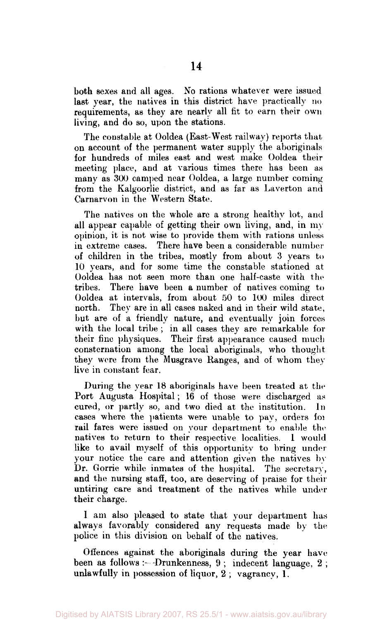both sexes and all ages. No rations whatever were issued last year, the natives in this district have practically no requirements, as they are nearly all fit to earn their own living, and do so, upon the stations.

The constable at Ooldea (East-West railway) reports that on account of the permanent water supply the aboriginals for hundreds of miles east and west make Ooldea their meeting place, and at various times there has been as many as 300 camped near Ooldea, a large number coming from the Kalgoorlie district, and as far as Laverton and Carnarvon in the Western State.

The natives on the whole are a strong healthy lot, and all appear capable of getting their own living, and, in my opinion, it is not wise to provide them with rations unless in extreme cases. There have been a considerable number of children in the tribes, mostly from about 3 years to 10 years, and for some time the constable stationed at Ooldea has not seen more than one half-caste with the tribes. There have been a number of natives coming to Ooldea at intervals, from about 50 to 100 miles direct north. They are in all cases naked and in their wild state, but are of a friendly nature, and eventually join forces with the local tribe ; in all cases they are remarkable for their fine physiques. Their first appearance caused much consternation among the local aboriginals, who thought they were from the Musgrave Ranges, and of whom they live in constant fear.

During the year 18 aboriginals have been treated at the Port Augusta Hospital; 16 of those were discharged as cured, or partly so, and two died at the institution. In cases where the patients were unable to pay, orders for rail fares were issued on your department to enable the natives to return to their respective localities. 1 would like to avail myself of this opportunity to bring under your notice the care and attention given the natives by Dr. Gorrie while inmates of the hospital. The secretary, and the nursing staff, too, are deserving of praise for their untiring care and treatment of the natives while under their charge.

1 am also pleased to state that your department has always favorably considered any requests made by the police in this division on behalf of the natives.

Offences against the aboriginals during the year have been as follows :--Drunkenness, 9; indecent language, 2; unlawfully in possession of liquor, 2 ; vagrancy, 1.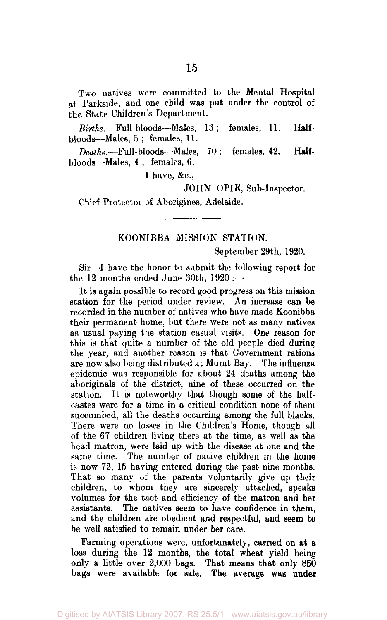Two natives were committed to the Mental Hospital at Parkside, and one child was put under the control of the State Children's Department.

Biths.--Full-bloods—Males, 13; females, 11. Halfbloods—Males, 5 ; females, 11.

*Deaths.—* Full-bloods- -Males, 70 ; females, 42. Halfbloods—Males, 4 ; females, 6.

I have, &c.

JOHN OPIE, Sub-Inspector.

Chief Protector of Aborigines, Adelaide.

#### KOON1BBA MISSION STATION.

September 29th, 1920.

Sir—I have the honor to submit the following report for the 12 months ended June 30th, 1920 : -

It is again possible to record good progress on this mission station for the period under review. An increase can be recorded in the number of natives who have made Koonibba their permanent home, but there were not as many natives as usual paying the station casual visits. One reason for this is that quite a number of the old people died during the year, and another reason is that Government rations are now also being distributed at Murat Bay. The influenza epidemic was responsible for about 24 deaths among the aboriginals of the district, nine of these occurred on the station. It is noteworthy that though some of the halfcastes were for a time in a critical condition none of them succumbed, all the deaths occurring among the full blacks. There were no losses in the Children's Home, though all of the 67 children living there at the time, as well as the head matron, were laid up with the disease at one and the same time. The number of native children in the home is now 72, 15 having entered during the past nine months. That so many of the parents voluntarily give up their children, to whom they are sincerely attached, speaks volumes for the tact and efficiency of the matron and her assistants. The natives seem to have confidence in them, and the children are obedient and respectful, and seem to be well satisfied to remain under her care.

Farming operations were, unfortunately, carried on at a loss during the 12 months, the total wheat yield being only a little over 2,000 bags. That means that only 850 bags were available for sale. The average was under